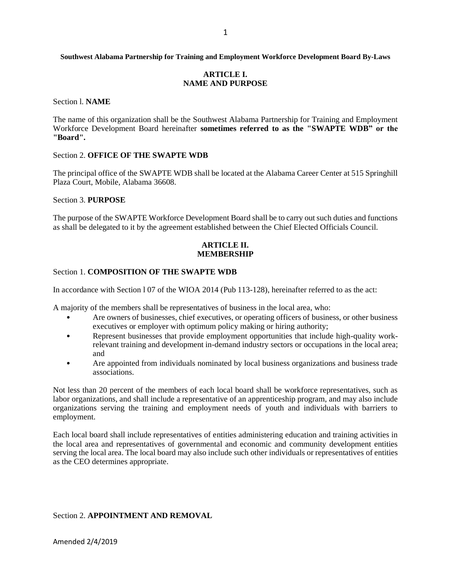#### **Southwest Alabama Partnership for Training and Employment Workforce Development Board By-Laws**

## **ARTICLE I. NAME AND PURPOSE**

Section l. **NAME**

The name of this organization shall be the Southwest Alabama Partnership for Training and Employment Workforce Development Board hereinafter **sometimes referred to as the "SWAPTE WDB" or the "Board".**

#### Section 2. **OFFICE OF THE SWAPTE WDB**

The principal office of the SWAPTE WDB shall be located at the Alabama Career Center at 515 Springhill Plaza Court, Mobile, Alabama 36608.

#### Section 3. **PURPOSE**

The purpose of the SWAPTE Workforce Development Board shall be to carry out such duties and functions as shall be delegated to it by the agreement established between the Chief Elected Officials Council.

## **ARTICLE II. MEMBERSHIP**

## Section 1. **COMPOSITION OF THE SWAPTE WDB**

In accordance with Section l 07 of the WIOA 2014 (Pub 113-128), hereinafter referred to as the act:

A majority of the members shall be representatives of business in the local area, who:

- Are owners of businesses, chief executives, or operating officers of business, or other business executives or employer with optimum policy making or hiring authority;
- Represent businesses that provide employment opportunities that include high-quality workrelevant training and development in-demand industry sectors or occupations in the local area; and
- Are appointed from individuals nominated by local business organizations and business trade associations.

Not less than 20 percent of the members of each local board shall be workforce representatives, such as labor organizations, and shall include a representative of an apprenticeship program, and may also include organizations serving the training and employment needs of youth and individuals with barriers to employment.

Each local board shall include representatives of entities administering education and training activities in the local area and representatives of governmental and economic and community development entities serving the local area. The local board may also include such other individuals or representatives of entities as the CEO determines appropriate.

# Section 2. **APPOINTMENT AND REMOVAL**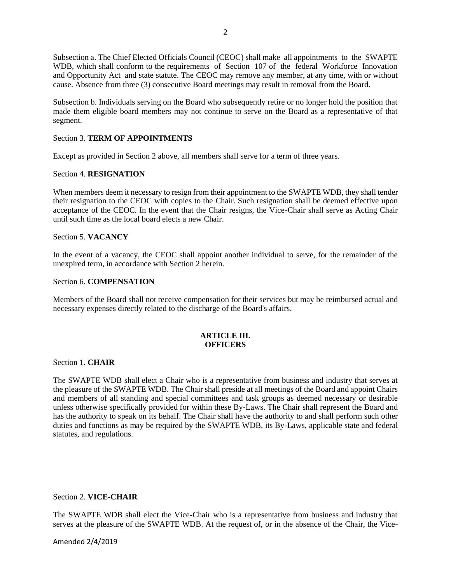Subsection a. The Chief Elected Officials Council (CEOC) shall make all appointments to the SWAPTE WDB, which shall conform to the requirements of Section 107 of the federal Workforce Innovation and Opportunity Act and state statute. The CEOC may remove any member, at any time, with or without cause. Absence from three (3) consecutive Board meetings may result in removal from the Board.

Subsection b. Individuals serving on the Board who subsequently retire or no longer hold the position that made them eligible board members may not continue to serve on the Board as a representative of that segment.

# Section 3. **TERM OF APPOINTMENTS**

Except as provided in Section 2 above, all members shall serve for a term of three years.

## Section 4. **RESIGNATION**

When members deem it necessary to resign from their appointment to the SWAPTE WDB, they shall tender their resignation to the CEOC with copies to the Chair. Such resignation shall be deemed effective upon acceptance of the CEOC. In the event that the Chair resigns, the Vice-Chair shall serve as Acting Chair until such time as the local board elects a new Chair.

## Section 5. **VACANCY**

In the event of a vacancy, the CEOC shall appoint another individual to serve, for the remainder of the unexpired term, in accordance with Section 2 herein.

## Section 6. **COMPENSATION**

Members of the Board shall not receive compensation for their services but may be reimbursed actual and necessary expenses directly related to the discharge of the Board's affairs.

## **ARTICLE III. OFFICERS**

## Section 1. **CHAIR**

The SWAPTE WDB shall elect a Chair who is a representative from business and industry that serves at the pleasure of the SWAPTE WDB. The Chair shall preside at all meetings of the Board and appoint Chairs and members of all standing and special committees and task groups as deemed necessary or desirable unless otherwise specifically provided for within these By-Laws. The Chair shall represent the Board and has the authority to speak on its behalf. The Chair shall have the authority to and shall perform such other duties and functions as may be required by the SWAPTE WDB, its By-Laws, applicable state and federal statutes, and regulations.

## Section 2. **VICE-CHAIR**

The SWAPTE WDB shall elect the Vice-Chair who is a representative from business and industry that serves at the pleasure of the SWAPTE WDB. At the request of, or in the absence of the Chair, the Vice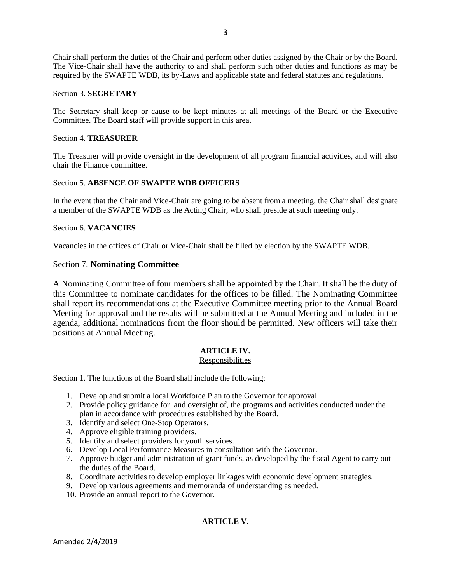Chair shall perform the duties of the Chair and perform other duties assigned by the Chair or by the Board. The Vice-Chair shall have the authority to and shall perform such other duties and functions as may be required by the SWAPTE WDB, its by-Laws and applicable state and federal statutes and regulations.

# Section 3. **SECRETARY**

The Secretary shall keep or cause to be kept minutes at all meetings of the Board or the Executive Committee. The Board staff will provide support in this area.

# Section 4. **TREASURER**

The Treasurer will provide oversight in the development of all program financial activities, and will also chair the Finance committee.

## Section 5. **ABSENCE OF SWAPTE WDB OFFICERS**

In the event that the Chair and Vice-Chair are going to be absent from a meeting, the Chair shall designate a member of the SWAPTE WDB as the Acting Chair, who shall preside at such meeting only.

## Section 6. **VACANCIES**

Vacancies in the offices of Chair or Vice-Chair shall be filled by election by the SWAPTE WDB.

## Section 7. **Nominating Committee**

A Nominating Committee of four members shall be appointed by the Chair. It shall be the duty of this Committee to nominate candidates for the offices to be filled. The Nominating Committee shall report its recommendations at the Executive Committee meeting prior to the Annual Board Meeting for approval and the results will be submitted at the Annual Meeting and included in the agenda, additional nominations from the floor should be permitted. New officers will take their positions at Annual Meeting.

# **ARTICLE IV.**

## **Responsibilities**

Section 1. The functions of the Board shall include the following:

- 1. Develop and submit a local Workforce Plan to the Governor for approval.
- 2. Provide policy guidance for, and oversight of, the programs and activities conducted under the plan in accordance with procedures established by the Board.
- 3. Identify and select One-Stop Operators.
- 4. Approve eligible training providers.
- 5. Identify and select providers for youth services.
- 6. Develop Local Performance Measures in consultation with the Governor.
- 7. Approve budget and administration of grant funds, as developed by the fiscal Agent to carry out the duties of the Board.
- 8. Coordinate activities to develop employer linkages with economic development strategies.
- 9. Develop various agreements and memoranda of understanding as needed.
- 10. Provide an annual report to the Governor.

# **ARTICLE V.**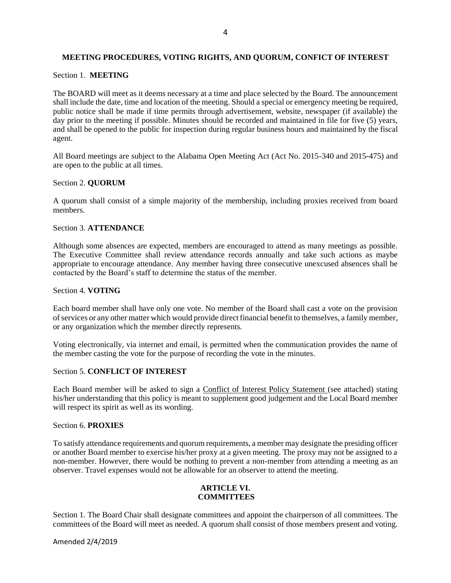## **MEETING PROCEDURES, VOTING RIGHTS, AND QUORUM, CONFICT OF INTEREST**

## Section 1. **MEETING**

The BOARD will meet as it deems necessary at a time and place selected by the Board. The announcement shall include the date, time and location of the meeting. Should a special or emergency meeting be required, public notice shall be made if time permits through advertisement, website, newspaper (if available) the day prior to the meeting if possible. Minutes should be recorded and maintained in file for five (5) years, and shall be opened to the public for inspection during regular business hours and maintained by the fiscal agent.

All Board meetings are subject to the Alabama Open Meeting Act (Act No. 2015-340 and 2015-475) and are open to the public at all times.

## Section 2. **QUORUM**

A quorum shall consist of a simple majority of the membership, including proxies received from board members.

## Section 3. **ATTENDANCE**

Although some absences are expected, members are encouraged to attend as many meetings as possible. The Executive Committee shall review attendance records annually and take such actions as maybe appropriate to encourage attendance. Any member having three consecutive unexcused absences shall be contacted by the Board's staff to determine the status of the member.

## Section 4. **VOTING**

Each board member shall have only one vote. No member of the Board shall cast a vote on the provision of services or any other matter which would provide direct financial benefit to themselves, a family member, or any organization which the member directly represents.

Voting electronically, via internet and email, is permitted when the communication provides the name of the member casting the vote for the purpose of recording the vote in the minutes.

## Section 5. **CONFLICT OF INTEREST**

Each Board member will be asked to sign a Conflict of Interest Policy Statement (see attached) stating his/her understanding that this policy is meant to supplement good judgement and the Local Board member will respect its spirit as well as its wording.

## Section 6. **PROXIES**

To satisfy attendance requirements and quorum requirements, a member may designate the presiding officer or another Board member to exercise his/her proxy at a given meeting. The proxy may not be assigned to a non-member. However, there would be nothing to prevent a non-member from attending a meeting as an observer. Travel expenses would not be allowable for an observer to attend the meeting.

## **ARTICLE VI. COMMITTEES**

Section 1. The Board Chair shall designate committees and appoint the chairperson of all committees. The committees of the Board will meet as needed. A quorum shall consist of those members present and voting.